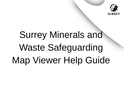

# Surrey Minerals and Waste Safeguarding Map Viewer Help Guide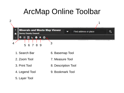## ArcMap Online Toolbar



1. Search Bar

2. Zoom Tool

3. Print Tool

- 6. Basemap Tool
- 7. Measure Tool
- 8. Description Tool

4. Legend Tool

9. Bookmark Tool

5. Layer Tool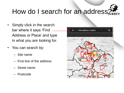## How do I search for an address.

- Simply click in the search bar where it says 'Find Address or Place' and type in what you are looking for.
- You can search by:
	- Site name
	- First line of the address
	- Street name
	- Postcode

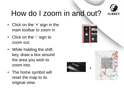

# How do I zoom in and out?

- Click on the '+' sign in the main toolbar to zoom in
- Click on the '-' sign to zoom out.
- While holding the shift key, draw a box around the area you wish to zoom into.
- The home symbol will reset the map to its original view.



+



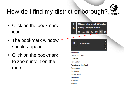# How do I find my district or borough?

- Click on the bookmark icon.
- The bookmark window should appear.
- Click on the bookmark to zoom into it on the map.

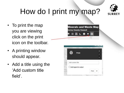# How do I print my map?



- To print the map you are viewing click on the print icon on the toolbar.
- A printing window should appear.
- Add a title using the 'Add custom title field'.

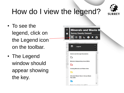

# How do I view the legend?

- To see the legend, click on the Legend icon on the toolbar.
- The Legend window should appear showing the key.

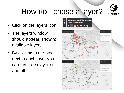

# How do I chose a layer?

- Click on the layers icon.
- The layers window should appear, showing available layers.
- By clicking in the box next to each layer you can turn each layer on and off.

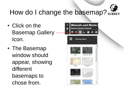

#### How do I change the basemap? SURREY

- Click on the Basemap Gallery Icon.
- The Basemap window should appear, showing different basemaps to chose from.

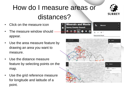#### How do I measure areas or distances?



- Click on the measure icon
- The measure window should appear.
- Use the area measure feature by drawing an area you want to measure.
- Use the distance measure feature by selecting points on the map.
- Use the grid reference measure for longitude and latitude of a point.